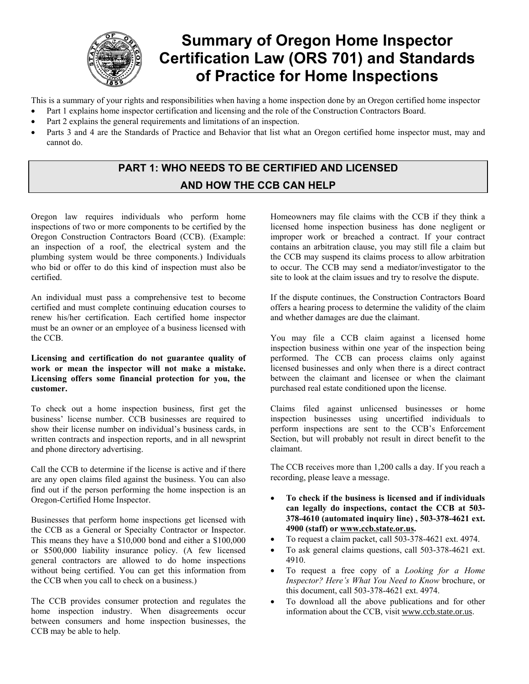

# **Summary of Oregon Home Inspector Certification Law (ORS 701) and Standards of Practice for Home Inspections**

This is a summary of your rights and responsibilities when having a home inspection done by an Oregon certified home inspector

- Part 1 explains home inspector certification and licensing and the role of the Construction Contractors Board.
- Part 2 explains the general requirements and limitations of an inspection.
- Parts 3 and 4 are the Standards of Practice and Behavior that list what an Oregon certified home inspector must, may and cannot do.

## **PART 1: WHO NEEDS TO BE CERTIFIED AND LICENSED AND HOW THE CCB CAN HELP**

Oregon law requires individuals who perform home inspections of two or more components to be certified by the Oregon Construction Contractors Board (CCB). (Example: an inspection of a roof, the electrical system and the plumbing system would be three components.) Individuals who bid or offer to do this kind of inspection must also be certified.

An individual must pass a comprehensive test to become certified and must complete continuing education courses to renew his/her certification. Each certified home inspector must be an owner or an employee of a business licensed with the CCB.

#### **Licensing and certification do not guarantee quality of work or mean the inspector will not make a mistake. Licensing offers some financial protection for you, the customer.**

To check out a home inspection business, first get the business' license number. CCB businesses are required to show their license number on individual's business cards, in written contracts and inspection reports, and in all newsprint and phone directory advertising.

Call the CCB to determine if the license is active and if there are any open claims filed against the business. You can also find out if the person performing the home inspection is an Oregon-Certified Home Inspector.

Businesses that perform home inspections get licensed with the CCB as a General or Specialty Contractor or Inspector. This means they have a \$10,000 bond and either a \$100,000 or \$500,000 liability insurance policy. (A few licensed general contractors are allowed to do home inspections without being certified. You can get this information from the CCB when you call to check on a business.)

The CCB provides consumer protection and regulates the home inspection industry. When disagreements occur between consumers and home inspection businesses, the CCB may be able to help.

Homeowners may file claims with the CCB if they think a licensed home inspection business has done negligent or improper work or breached a contract. If your contract contains an arbitration clause, you may still file a claim but the CCB may suspend its claims process to allow arbitration to occur. The CCB may send a mediator/investigator to the site to look at the claim issues and try to resolve the dispute.

If the dispute continues, the Construction Contractors Board offers a hearing process to determine the validity of the claim and whether damages are due the claimant.

You may file a CCB claim against a licensed home inspection business within one year of the inspection being performed. The CCB can process claims only against licensed businesses and only when there is a direct contract between the claimant and licensee or when the claimant purchased real estate conditioned upon the license.

Claims filed against unlicensed businesses or home inspection businesses using uncertified individuals to perform inspections are sent to the CCB's Enforcement Section, but will probably not result in direct benefit to the claimant.

The CCB receives more than 1,200 calls a day. If you reach a recording, please leave a message.

- x **To check if the business is licensed and if individuals can legally do inspections, contact the CCB at 503- 378-4610 (automated inquiry line) , 503-378-4621 ext. 4900 (staff) or www.ccb.state.or.us.**
- x To request a claim packet, call 503-378-4621 ext. 4974.
- To ask general claims questions, call 503-378-4621 ext. 4910.
- x To request a free copy of a *Looking for a Home Inspector? Here's What You Need to Know* brochure, or this document, call 503-378-4621 ext. 4974.
- To download all the above publications and for other information about the CCB, visit www.ccb.state.or.us.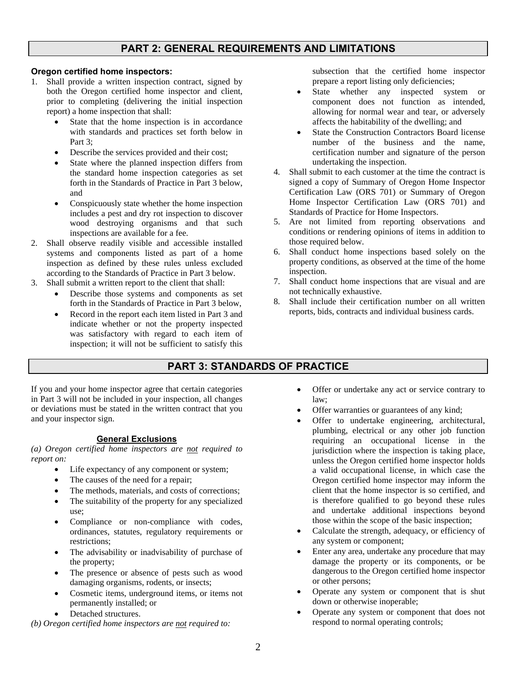### **PART 2: GENERAL REQUIREMENTS AND LIMITATIONS**

**Oregon certified home inspectors:**

- 1. Shall provide a written inspection contract, signed by both the Oregon certified home inspector and client, prior to completing (delivering the initial inspection report) a home inspection that shall:
	- State that the home inspection is in accordance with standards and practices set forth below in Part 3;
	- Describe the services provided and their cost;
	- State where the planned inspection differs from the standard home inspection categories as set forth in the Standards of Practice in Part 3 below, and
	- Conspicuously state whether the home inspection includes a pest and dry rot inspection to discover wood destroying organisms and that such inspections are available for a fee.
- 2. Shall observe readily visible and accessible installed systems and components listed as part of a home inspection as defined by these rules unless excluded according to the Standards of Practice in Part 3 below.
- 3. Shall submit a written report to the client that shall:
	- Describe those systems and components as set forth in the Standards of Practice in Part 3 below,
	- x Record in the report each item listed in Part 3 and indicate whether or not the property inspected was satisfactory with regard to each item of inspection; it will not be sufficient to satisfy this

subsection that the certified home inspector prepare a report listing only deficiencies;

- State whether any inspected system or component does not function as intended, allowing for normal wear and tear, or adversely affects the habitability of the dwelling; and
- State the Construction Contractors Board license number of the business and the name, certification number and signature of the person undertaking the inspection.
- 4. Shall submit to each customer at the time the contract is signed a copy of Summary of Oregon Home Inspector Certification Law (ORS 701) or Summary of Oregon Home Inspector Certification Law (ORS 701) and Standards of Practice for Home Inspectors.
- 5. Are not limited from reporting observations and conditions or rendering opinions of items in addition to those required below.
- 6. Shall conduct home inspections based solely on the property conditions, as observed at the time of the home inspection.
- 7. Shall conduct home inspections that are visual and are not technically exhaustive.
- 8. Shall include their certification number on all written reports, bids, contracts and individual business cards.

## **PART 3: STANDARDS OF PRACTICE**

If you and your home inspector agree that certain categories in Part 3 will not be included in your inspection, all changes or deviations must be stated in the written contract that you and your inspector sign.

#### **General Exclusions**

*(a) Oregon certified home inspectors are not required to report on:*

- Life expectancy of any component or system;
- The causes of the need for a repair;
- The methods, materials, and costs of corrections;
- The suitability of the property for any specialized use;
- Compliance or non-compliance with codes, ordinances, statutes, regulatory requirements or restrictions;
- The advisability or inadvisability of purchase of the property;
- The presence or absence of pests such as wood damaging organisms, rodents, or insects;
- Cosmetic items, underground items, or items not permanently installed; or
	- Detached structures.

*(b) Oregon certified home inspectors are not required to:*

- Offer or undertake any act or service contrary to law;
- Offer warranties or guarantees of any kind;
- Offer to undertake engineering, architectural, plumbing, electrical or any other job function requiring an occupational license in the jurisdiction where the inspection is taking place, unless the Oregon certified home inspector holds a valid occupational license, in which case the Oregon certified home inspector may inform the client that the home inspector is so certified, and is therefore qualified to go beyond these rules and undertake additional inspections beyond those within the scope of the basic inspection;
- Calculate the strength, adequacy, or efficiency of any system or component;
- Enter any area, undertake any procedure that may damage the property or its components, or be dangerous to the Oregon certified home inspector or other persons;
- Operate any system or component that is shut down or otherwise inoperable;
- Operate any system or component that does not respond to normal operating controls;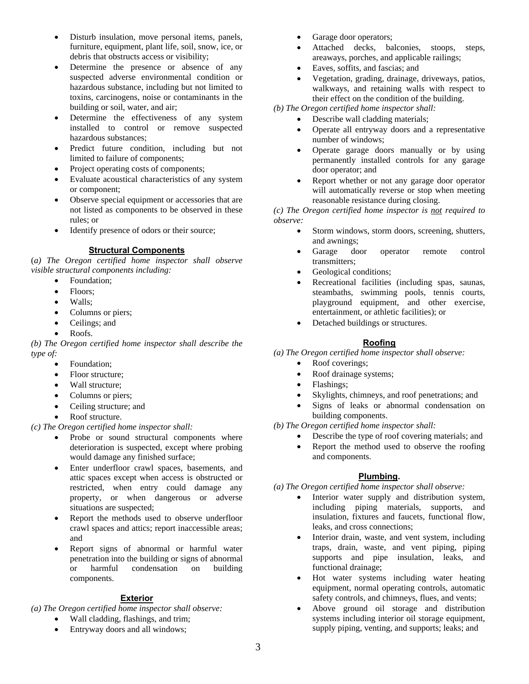- Disturb insulation, move personal items, panels, furniture, equipment, plant life, soil, snow, ice, or debris that obstructs access or visibility;
- Determine the presence or absence of any suspected adverse environmental condition or hazardous substance, including but not limited to toxins, carcinogens, noise or contaminants in the building or soil, water, and air;
- Determine the effectiveness of any system installed to control or remove suspected hazardous substances;
- Predict future condition, including but not limited to failure of components;
- Project operating costs of components;
- Evaluate acoustical characteristics of any system or component;
- Observe special equipment or accessories that are not listed as components to be observed in these rules; or
- Identify presence of odors or their source;

#### **Structural Components**

(*a) The Oregon certified home inspector shall observe visible structural components including:*

- Foundation:
	- Floors:
	- Walls:
	- Columns or piers;
	- Ceilings; and
	- Roofs.

*(b) The Oregon certified home inspector shall describe the type of:*

- Foundation:
- Floor structure;
- Wall structure;
- Columns or piers;
- Ceiling structure; and
- Roof structure.

*(c) The Oregon certified home inspector shall:*

- Probe or sound structural components where deterioration is suspected, except where probing would damage any finished surface;
- Enter underfloor crawl spaces, basements, and attic spaces except when access is obstructed or restricted, when entry could damage any property, or when dangerous or adverse situations are suspected;
- Report the methods used to observe underfloor crawl spaces and attics; report inaccessible areas; and
- x Report signs of abnormal or harmful water penetration into the building or signs of abnormal or harmful condensation on building components.

#### **Exterior**

*(a) The Oregon certified home inspector shall observe:*

- Wall cladding, flashings, and trim;
- Entryway doors and all windows:
- Garage door operators;
- Attached decks, balconies, stoops, steps, areaways, porches, and applicable railings;
- Eaves, soffits, and fascias; and
- x Vegetation, grading, drainage, driveways, patios, walkways, and retaining walls with respect to their effect on the condition of the building.

*(b) The Oregon certified home inspector shall:*

- Describe wall cladding materials;
- Operate all entryway doors and a representative number of windows;
- Operate garage doors manually or by using permanently installed controls for any garage door operator; and
- x Report whether or not any garage door operator will automatically reverse or stop when meeting reasonable resistance during closing.

#### *(c) The Oregon certified home inspector is not required to observe:*

- Storm windows, storm doors, screening, shutters, and awnings;
- Garage door operator remote control transmitters;
- Geological conditions;
- Recreational facilities (including spas, saunas, steambaths, swimming pools, tennis courts, playground equipment, and other exercise, entertainment, or athletic facilities); or
- Detached buildings or structures.

## **Roofing**

*(a) The Oregon certified home inspector shall observe:*

- Roof coverings;
- Roof drainage systems;
- Flashings;
- Skylights, chimneys, and roof penetrations; and
- Signs of leaks or abnormal condensation on building components.

*(b) The Oregon certified home inspector shall:*

- Describe the type of roof covering materials; and
- x Report the method used to observe the roofing and components.

## **Plumbing.**

*(a) The Oregon certified home inspector shall observe:*

- Interior water supply and distribution system, including piping materials, supports, and insulation, fixtures and faucets, functional flow, leaks, and cross connections;
- Interior drain, waste, and vent system, including traps, drain, waste, and vent piping, piping supports and pipe insulation, leaks, and functional drainage;
- Hot water systems including water heating equipment, normal operating controls, automatic safety controls, and chimneys, flues, and vents;
- Above ground oil storage and distribution systems including interior oil storage equipment, supply piping, venting, and supports; leaks; and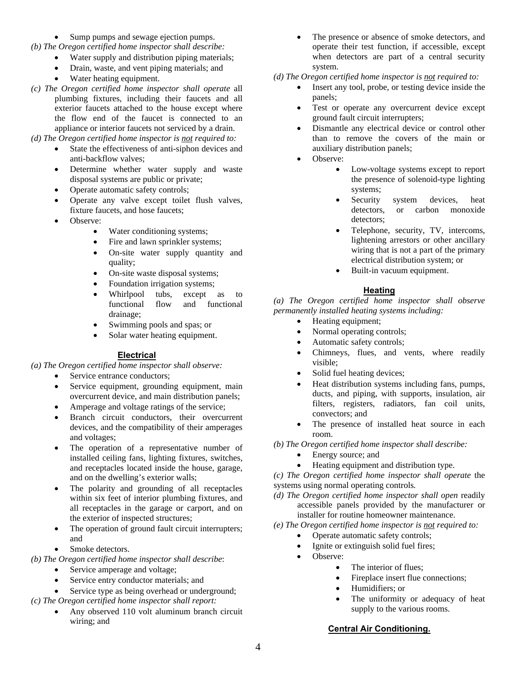- Sump pumps and sewage ejection pumps.
- *(b) The Oregon certified home inspector shall describe:*
	- $\bullet$  Water supply and distribution piping materials;
	- Drain, waste, and vent piping materials; and
	- Water heating equipment.
- *(c) The Oregon certified home inspector shall operate* all plumbing fixtures, including their faucets and all exterior faucets attached to the house except where the flow end of the faucet is connected to an appliance or interior faucets not serviced by a drain.

*(d) The Oregon certified home inspector is not required to:*

- State the effectiveness of anti-siphon devices and anti-backflow valves;
- Determine whether water supply and waste disposal systems are public or private;
- Operate automatic safety controls;
- Operate any valve except toilet flush valves, fixture faucets, and hose faucets;
- Observe:
	- Water conditioning systems;
	- Fire and lawn sprinkler systems;
	- On-site water supply quantity and quality;
	- On-site waste disposal systems;
	- Foundation irrigation systems;
	- Whirlpool tubs, except as to<br>functional flow and functional and functional drainage;
	- Swimming pools and spas; or
	- Solar water heating equipment.

## **Electrical**

## *(a) The Oregon certified home inspector shall observe:*

- Service entrance conductors;
- Service equipment, grounding equipment, main overcurrent device, and main distribution panels;
- Amperage and voltage ratings of the service;
- Branch circuit conductors, their overcurrent devices, and the compatibility of their amperages and voltages;
- The operation of a representative number of installed ceiling fans, lighting fixtures, switches, and receptacles located inside the house, garage, and on the dwelling's exterior walls;
- The polarity and grounding of all receptacles within six feet of interior plumbing fixtures, and all receptacles in the garage or carport, and on the exterior of inspected structures;
- The operation of ground fault circuit interrupters; and
- Smoke detectors.

*(b) The Oregon certified home inspector shall describe*:

- Service amperage and voltage;
- Service entry conductor materials; and
- Service type as being overhead or underground;
- *(c) The Oregon certified home inspector shall report:*
	- x Any observed 110 volt aluminum branch circuit wiring; and
- The presence or absence of smoke detectors, and operate their test function, if accessible, except when detectors are part of a central security system.
- *(d) The Oregon certified home inspector is not required to:*
	- Insert any tool, probe, or testing device inside the panels;
	- Test or operate any overcurrent device except ground fault circuit interrupters;
	- Dismantle any electrical device or control other than to remove the covers of the main or auxiliary distribution panels;
	- Observe:
		- Low-voltage systems except to report the presence of solenoid-type lighting systems;
		- Security system devices, heat<br>detectors, or carbon monoxide or carbon monoxide detectors;
		- x Telephone, security, TV, intercoms, lightening arrestors or other ancillary wiring that is not a part of the primary electrical distribution system; or
		- **•** Built-in vacuum equipment.

## **Heating**

*(a) The Oregon certified home inspector shall observe permanently installed heating systems including:*

- Heating equipment;
- Normal operating controls;
- Automatic safety controls;
- x Chimneys, flues, and vents, where readily visible;
- Solid fuel heating devices;
- Heat distribution systems including fans, pumps, ducts, and piping, with supports, insulation, air filters, registers, radiators, fan coil units, convectors; and
- The presence of installed heat source in each room.

*(b) The Oregon certified home inspector shall describe:*

- Energy source; and
- Heating equipment and distribution type.

*(c) The Oregon certified home inspector shall operate* the systems using normal operating controls*.*

*(d) The Oregon certified home inspector shall open* readily accessible panels provided by the manufacturer or installer for routine homeowner maintenance.

## *(e) The Oregon certified home inspector is not required to:*

- Operate automatic safety controls;
- Ignite or extinguish solid fuel fires;
- Observe:
	- The interior of flues:
		- Fireplace insert flue connections;
		- Humidifiers; or
		- The uniformity or adequacy of heat supply to the various rooms.

**Central Air Conditioning.**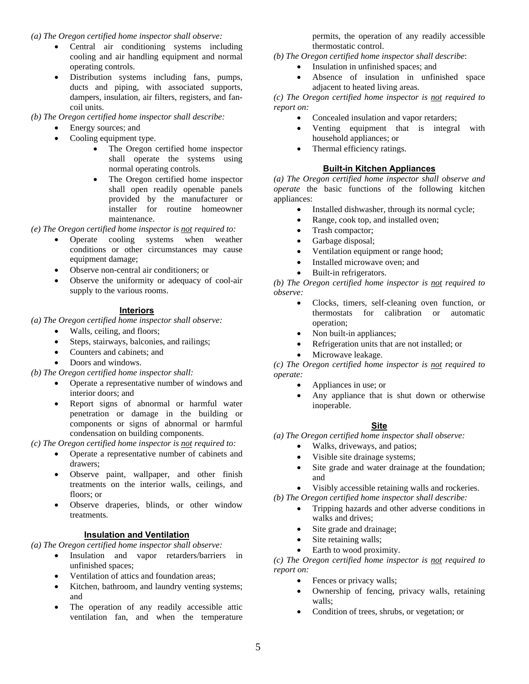*(a) The Oregon certified home inspector shall observe:*

- Central air conditioning systems including cooling and air handling equipment and normal operating controls.
- x Distribution systems including fans, pumps, ducts and piping, with associated supports, dampers, insulation, air filters, registers, and fancoil units.

*(b) The Oregon certified home inspector shall describe:*

- Energy sources; and
- Cooling equipment type.
	- The Oregon certified home inspector shall operate the systems using normal operating controls.
	- The Oregon certified home inspector shall open readily openable panels provided by the manufacturer or installer for routine homeowner maintenance.

*(e) The Oregon certified home inspector is not required to:*

- Operate cooling systems when weather conditions or other circumstances may cause equipment damage;
- Observe non-central air conditioners; or
- Observe the uniformity or adequacy of cool-air supply to the various rooms.

#### **Interiors**

*(a) The Oregon certified home inspector shall observe:*

- Walls, ceiling, and floors;
- Steps, stairways, balconies, and railings;
- Counters and cabinets; and
- Doors and windows.

*(b) The Oregon certified home inspector shall:*

- Operate a representative number of windows and interior doors; and
- x Report signs of abnormal or harmful water penetration or damage in the building or components or signs of abnormal or harmful condensation on building components.

*(c) The Oregon certified home inspector is not required to:*

- Operate a representative number of cabinets and drawers;
- x Observe paint, wallpaper, and other finish treatments on the interior walls, ceilings, and floors; or
- Observe draperies, blinds, or other window treatments.

#### **Insulation and Ventilation**

*(a) The Oregon certified home inspector shall observe:*

- Insulation and vapor retarders/barriers in unfinished spaces;
- x Ventilation of attics and foundation areas;
- Kitchen, bathroom, and laundry venting systems; and
- The operation of any readily accessible attic ventilation fan, and when the temperature

permits, the operation of any readily accessible thermostatic control.

- *(b) The Oregon certified home inspector shall describe*:
	- Insulation in unfinished spaces; and
	- Absence of insulation in unfinished space adiacent to heated living areas.

*(c) The Oregon certified home inspector is not required to report on:*

- Concealed insulation and vapor retarders;
- x Venting equipment that is integral with household appliances; or
- Thermal efficiency ratings.

#### **Built-in Kitchen Appliances**

*(a) The Oregon certified home inspector shall observe and operate* the basic functions of the following kitchen appliances:

- Installed dishwasher, through its normal cycle;
- Range, cook top, and installed oven;
- Trash compactor:
- Garbage disposal;
- Ventilation equipment or range hood;
- Installed microwave oven; and
- Built-in refrigerators.

*(b) The Oregon certified home inspector is not required to observe:*

- x Clocks, timers, self-cleaning oven function, or thermostats for calibration or automatic operation;
- Non built-in appliances;
- x Refrigeration units that are not installed; or
- Microwave leakage.

*(c) The Oregon certified home inspector is not required to operate:*

- Appliances in use; or
- $\bullet$  Any appliance that is shut down or otherwise inoperable.

#### **Site**

*(a) The Oregon certified home inspector shall observe:*

- Walks, driveways, and patios;
- Visible site drainage systems;
- Site grade and water drainage at the foundation: and
- x Visibly accessible retaining walls and rockeries.
- *(b) The Oregon certified home inspector shall describe:*
	- x Tripping hazards and other adverse conditions in walks and drives;
	- Site grade and drainage:
	- Site retaining walls;
	- Earth to wood proximity.

*(c) The Oregon certified home inspector is not required to report on:*

- Fences or privacy walls;
- Ownership of fencing, privacy walls, retaining walls;
- Condition of trees, shrubs, or vegetation; or